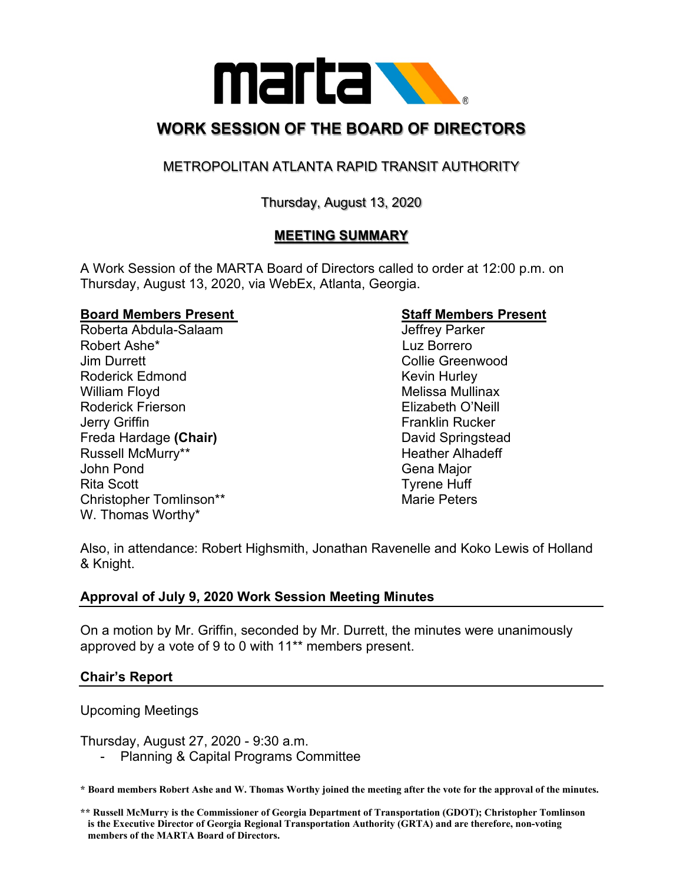

# **WORK SESSION OF THE BOARD OF DIRECTORS**

# METROPOLITAN ATLANTA RAPID TRANSIT AUTHORITY

# Thursday, August 13, 2020

# **MEETING SUMMARY**

A Work Session of the MARTA Board of Directors called to order at 12:00 p.m. on Thursday, August 13, 2020, via WebEx, Atlanta, Georgia.

### **Board Members Present Communist Communist Staff Members Present**

Roberta Abdula-Salaam and a state of the United States of the United States and Abdula-Salaam Robert Ashe\* Luz Borrero Jim Durrett Collie Greenwood Roderick Edmond **Kevin Hurley** Kevin Hurley William Floyd **Melissa Mullinax** Melissa Mullinax Roderick Frierson Elizabeth O'Neill Jerry Griffin **Franklin Rucker** Freda Hardage **(Chair)** David Springstead Russell McMurry\*\* The Controller Controller Heather Alhadeff John Pond Gena Major Rita Scott **Tyrene** Huff Christopher Tomlinson\*\* Marie Peters W. Thomas Worthy\*

Also, in attendance: Robert Highsmith, Jonathan Ravenelle and Koko Lewis of Holland & Knight.

## **Approval of July 9, 2020 Work Session Meeting Minutes**

On a motion by Mr. Griffin, seconded by Mr. Durrett, the minutes were unanimously approved by a vote of 9 to 0 with 11\*\* members present.

## **Chair's Report**

### Upcoming Meetings

Thursday, August 27, 2020 - 9:30 a.m.

Planning & Capital Programs Committee

**\* Board members Robert Ashe and W. Thomas Worthy joined the meeting after the vote for the approval of the minutes.**

**<sup>\*\*</sup> Russell McMurry is the Commissioner of Georgia Department of Transportation (GDOT); Christopher Tomlinson is the Executive Director of Georgia Regional Transportation Authority (GRTA) and are therefore, non-voting members of the MARTA Board of Directors.**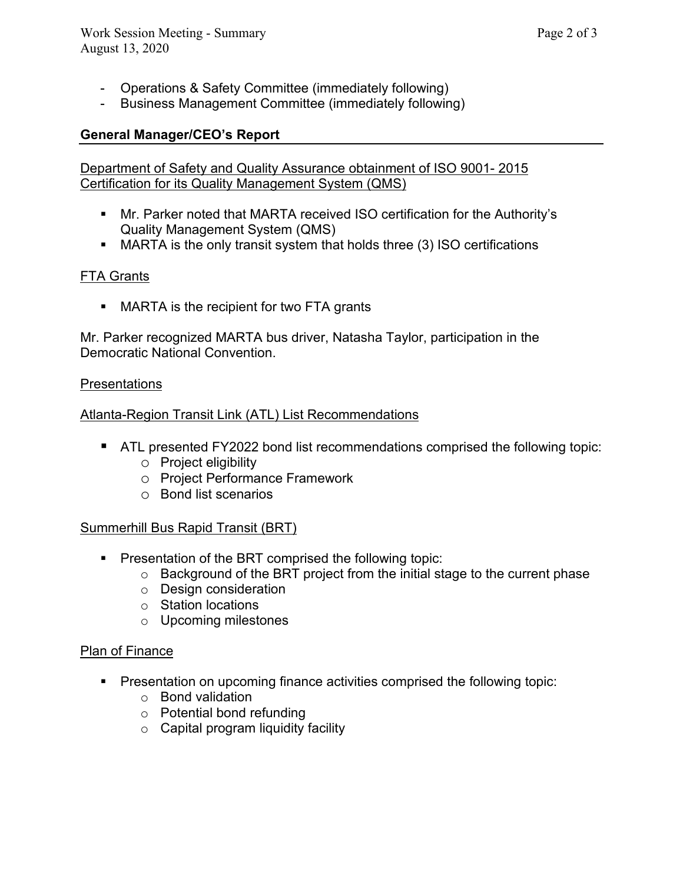- Operations & Safety Committee (immediately following)
- Business Management Committee (immediately following)

# **General Manager/CEO's Report**

Department of Safety and Quality Assurance obtainment of ISO 9001- 2015 Certification for its Quality Management System (QMS)

- Mr. Parker noted that MARTA received ISO certification for the Authority's Quality Management System (QMS)
- MARTA is the only transit system that holds three (3) ISO certifications

# FTA Grants

**MARTA is the recipient for two FTA grants** 

Mr. Parker recognized MARTA bus driver, Natasha Taylor, participation in the Democratic National Convention.

# Presentations

Atlanta-Region Transit Link (ATL) List Recommendations

- **ATL presented FY2022 bond list recommendations comprised the following topic:** 
	- o Project eligibility
	- o Project Performance Framework
	- o Bond list scenarios

# Summerhill Bus Rapid Transit (BRT)

- **Presentation of the BRT comprised the following topic:** 
	- o Background of the BRT project from the initial stage to the current phase
	- o Design consideration
	- o Station locations
	- o Upcoming milestones

## Plan of Finance

- **Presentation on upcoming finance activities comprised the following topic:** 
	- o Bond validation
	- o Potential bond refunding
	- $\circ$  Capital program liquidity facility